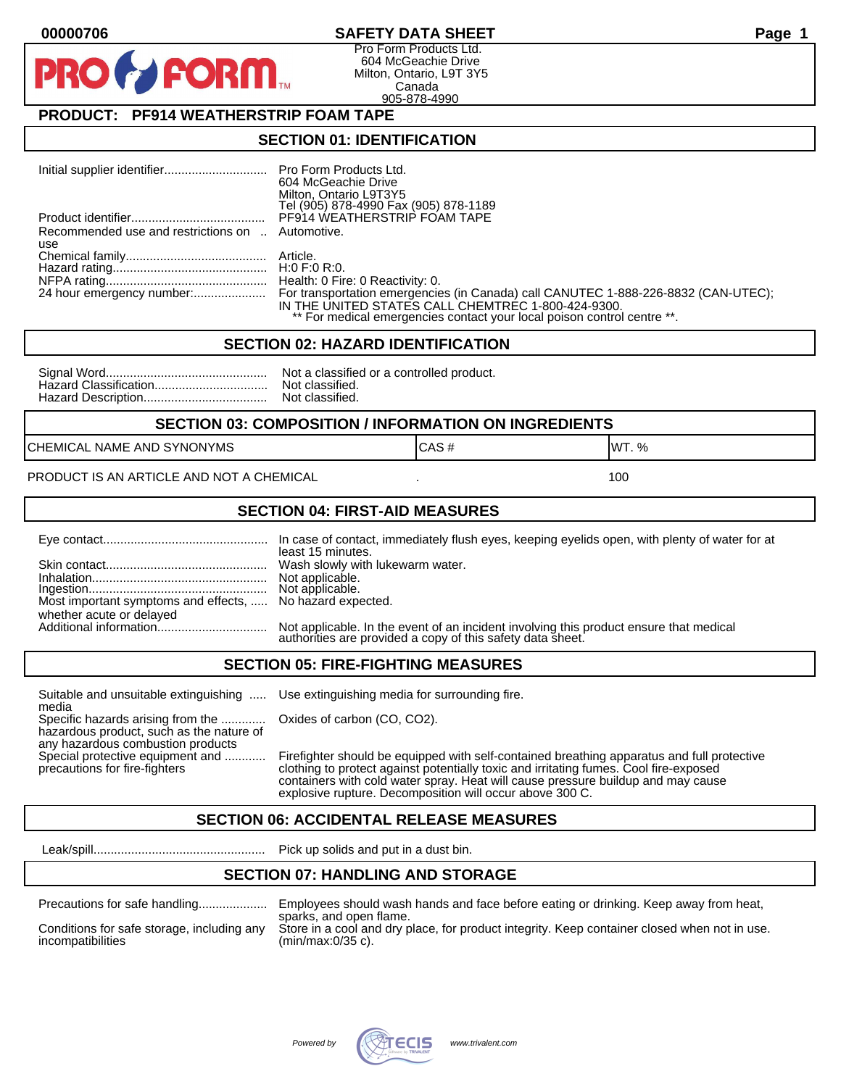#### **00000706 SAFETY DATA SHEET Page 1**

Pro Form Products Ltd. 604 McGeachie Drive Milton, Ontario, L9T 3Y5 Canada 905-878-4990

### **PRODUCT: PF914 WEATHERSTRIP FOAM TAPE**

**FORM** 

#### **SECTION 01: IDENTIFICATION**

|                                                  | 604 McGeachie Drive                                                     |
|--------------------------------------------------|-------------------------------------------------------------------------|
|                                                  | Milton, Ontario L9T3Y5<br>Tel (905) 878-4990 Fax (905) 878-1189         |
|                                                  | PF914 WEATHERSTRIP FOAM TAPE                                            |
|                                                  |                                                                         |
| Recommended use and restrictions on  Automotive. |                                                                         |
| use                                              |                                                                         |
|                                                  |                                                                         |
|                                                  |                                                                         |
|                                                  |                                                                         |
|                                                  | IN THE UNITED STATES CALL CHEMTREC 1-800-424-9300.                      |
|                                                  | ** For medical emergencies contact your local poison control centre **. |

#### **SECTION 02: HAZARD IDENTIFICATION**

| Nc |
|----|
| No |
| No |

ot a classified or a controlled product. ot classified. ot classified.

#### **SECTION 03: COMPOSITION / INFORMATION ON INGREDIENTS**

CHEMICAL NAME AND SYNONYMS GAS AND CAS # CAS # WT. %

PRODUCT IS AN ARTICLE AND NOT A CHEMICAL **AND THE SET AND A SET ALL ASSAULT** 100

#### **SECTION 04: FIRST-AID MEASURES**

|                                                                                       | least 15 minutes.                                                                                                                                    |
|---------------------------------------------------------------------------------------|------------------------------------------------------------------------------------------------------------------------------------------------------|
|                                                                                       |                                                                                                                                                      |
| Most important symptoms and effects,  No hazard expected.<br>whether acute or delayed |                                                                                                                                                      |
|                                                                                       | Not applicable. In the event of an incident involving this product ensure that medical<br>authorities are provided a copy of this safety data sheet. |

#### **SECTION 05: FIRE-FIGHTING MEASURES**

Suitable and unsuitable extinguishing ..... Use extinguishing media for surrounding fire. media

Specific hazards arising from the ............. Oxides of carbon (CO, CO2). hazardous product, such as the nature of any hazardous combustion products

Special protective equipment and ............ Firefighter should be equipped with self-contained breathing apparatus and full protective<br>precautions for fire-fighters continent clothing to protect against potentially toxic clothing to protect against potentially toxic and irritating fumes. Cool fire-exposed containers with cold water spray. Heat will cause pressure buildup and may cause explosive rupture. Decomposition will occur above 300 C.

#### **SECTION 06: ACCIDENTAL RELEASE MEASURES**

Leak/spill.................................................. Pick up solids and put in a dust bin.

#### **SECTION 07: HANDLING AND STORAGE**

| Precautions for safe handling |  |  |  |
|-------------------------------|--|--|--|
|                               |  |  |  |

Precautions for safe handling.................... Employees should wash hands and face before eating or drinking. Keep away from heat, sparks, and open flame. Conditions for safe storage, including any Store in a cool and dry place, for product integrity. Keep container closed when not in use.<br>incompatibilities (min/max:0/35 c).  $(min/max:0/35 c)$ .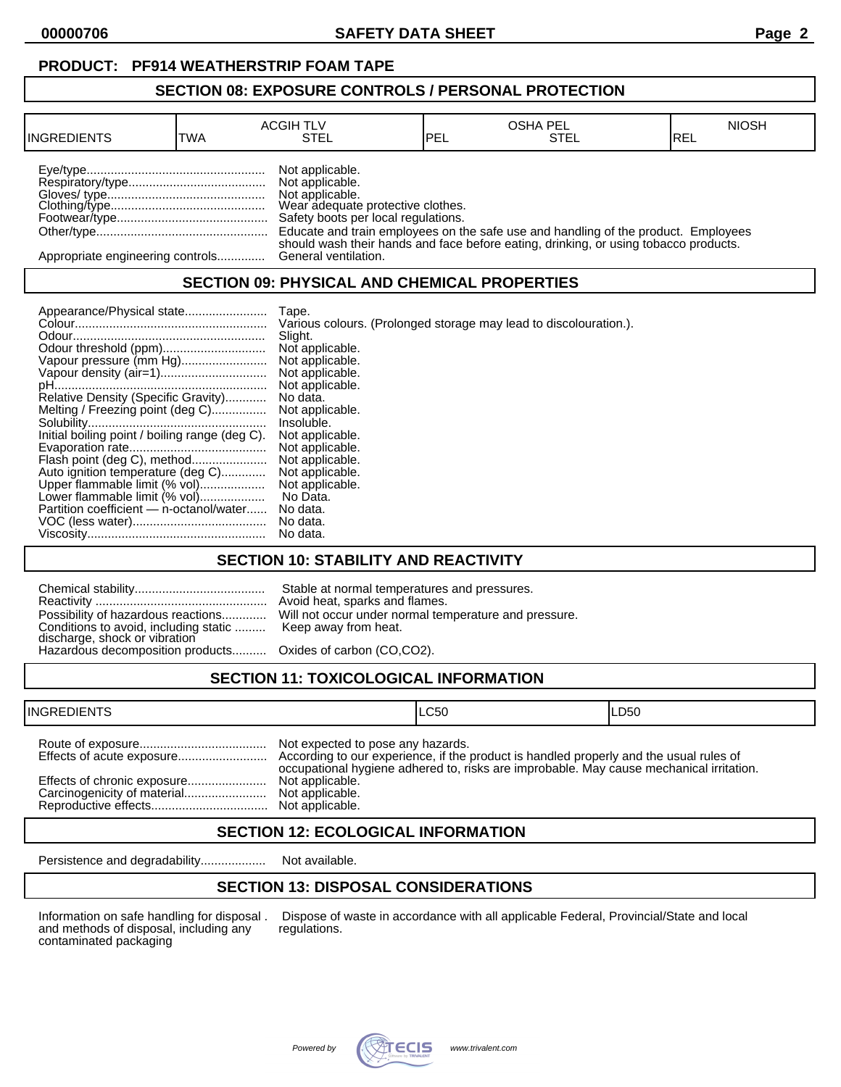**00000706 SAFETY DATA SHEET Page 2**

#### **SECTION 08: EXPOSURE CONTROLS / PERSONAL PROTECTION**

| <b>INGREDIENTS</b>               | <b>TWA</b> | <b>ACGIH TLV</b><br>STEL                                                                                                          | PEL | <b>OSHA PEL</b><br>STEL                                                                                                                                                    | <b>NIOSH</b><br>IREL |
|----------------------------------|------------|-----------------------------------------------------------------------------------------------------------------------------------|-----|----------------------------------------------------------------------------------------------------------------------------------------------------------------------------|----------------------|
|                                  |            | Not applicable.<br>Not applicable.<br>Not applicable.<br>Wear adequate protective clothes.<br>Safety boots per local regulations. |     | Educate and train employees on the safe use and handling of the product. Employees<br>should wash their hands and face before eating, drinking, or using tobacco products. |                      |
| Appropriate engineering controls |            | General ventilation.                                                                                                              |     |                                                                                                                                                                            |                      |

#### **SECTION 09: PHYSICAL AND CHEMICAL PROPERTIES**

|                                                | Tape.                                                             |
|------------------------------------------------|-------------------------------------------------------------------|
|                                                | Various colours. (Prolonged storage may lead to discolouration.). |
|                                                | Slight.                                                           |
|                                                | Not applicable.                                                   |
| Vapour pressure (mm Hg)                        | Not applicable.                                                   |
|                                                | Not applicable.                                                   |
|                                                | Not applicable.                                                   |
| Relative Density (Specific Gravity)            | No data.                                                          |
| Melting / Freezing point (deg C)               | Not applicable.                                                   |
|                                                | Insoluble.                                                        |
| Initial boiling point / boiling range (deg C). | Not applicable.                                                   |
|                                                | Not applicable.                                                   |
| Flash point (deg C), method                    | Not applicable.                                                   |
| Auto ignition temperature (deg C)              | Not applicable.                                                   |
| Upper flammable limit (% vol)                  | Not applicable.                                                   |
| Lower flammable limit (% vol)                  | No Data.                                                          |
| Partition coefficient - n-octanol/water        | No data.                                                          |
|                                                | No data.                                                          |
|                                                | No data.                                                          |

### **SECTION 10: STABILITY AND REACTIVITY**

| Conditions to avoid, including static  Keep away from heat.<br>discharge, shock or vibration<br>Hazardous decomposition products Oxides of carbon (CO,CO2). | Stable at normal temperatures and pressures.<br>Avoid heat, sparks and flames.<br>Possibility of hazardous reactions Will not occur under normal temperature and pressure. |
|-------------------------------------------------------------------------------------------------------------------------------------------------------------|----------------------------------------------------------------------------------------------------------------------------------------------------------------------------|
|                                                                                                                                                             |                                                                                                                                                                            |

# **SECTION 11: TOXICOLOGICAL INFORMATION**

| <b>INGREDIENTS</b>          |                                                                         | ILC50                                                                                   | ILD50 |
|-----------------------------|-------------------------------------------------------------------------|-----------------------------------------------------------------------------------------|-------|
| Effects of chronic exposure | Not expected to pose any hazards.<br>Not applicable.<br>Not applicable. | occupational hygiene adhered to, risks are improbable. May cause mechanical irritation. |       |

### **SECTION 12: ECOLOGICAL INFORMATION**

Persistence and degradability................... Not available.

### **SECTION 13: DISPOSAL CONSIDERATIONS**

and methods of disposal, including any contaminated packaging

Information on safe handling for disposal . Dispose of waste in accordance with all applicable Federal, Provincial/State and local